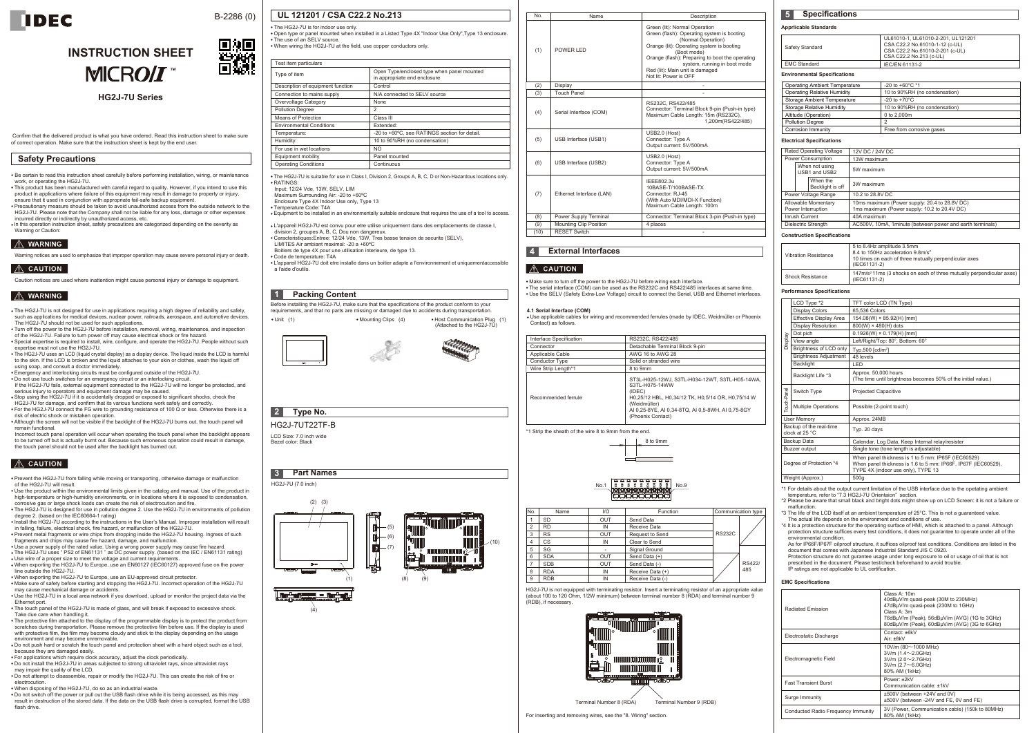

# B-2286 (0)

# **INSTRUCTION SHEET MICROIT**



| <b>HG2J-7U Series</b> |  |
|-----------------------|--|
|-----------------------|--|

Confirm that the delivered product is what you have ordered. Read this instruction sheet to make sure of correct operation. Make sure that the instruction sheet is kept by the end user.

● Be certain to read this instruction sheet carefully before performing installation, wiring, or maintenance work, or operating the HG2J-7U.

• This product has been manufactured with careful regard to quality. However, if you intend to use this product in applications where failure of this equipment may result in damage to property or injury, ensure that it used in conjunction with appropriate fail-safe backup equipment.

• Prevent the HG2J-7U from falling while moving or transporting, otherwise damage or malfunction of the HG2J-7U will result.

● Precautionary measure should be taken to avoid unauthorized access from the outside network to the HG2J-7U. Please note that the Company shall not be liable for any loss, damage or other expenses incurred directly or indirectly by unauthorized access, etc.

• Use the product within the environmental limits given in the catalog and manual. Use of the product in high-temperature or high-humidity environments, or in locations where it is exposed to condensation, corrosive gas or large shock loads can create the risk of electrocution and fire.

● In this operation instruction sheet, safety precautions are categorized depending on the severity as Warning or Caution:

# $\hat{A}$  WARNING

Warning notices are used to emphasize that improper operation may cause severe personal injury or death.

## $|\wedge\>$  CAUTION

Caution notices are used where inattention might cause personal injury or damage to equipment.

### $M$  WARNING

● The HG2J-7U is designed for use in pollution degree 2. Use the HG2J-7U in environments of pollution degree 2. (based on the IEC60664-1 rating)

• Do not push hard or scratch the touch panel and protection sheet with a hard object such as a tool. because they are damaged easily.

 $\bullet$  For applications which require clock accuracy, adjust the clock periodically

● Install the HG2J-7U according to the instructions in the User's Manual. Improper installation will result in falling, failure, electrical shock, fire hazard, or malfunction of the HG2J-7U.

. Do not attempt to disassemble, repair or modify the HG2J-7U. This can create the risk of fire or electrocution.

• When disposing of the HG2J-7U, do so as an industrial waste.

● Prevent metal fragments or wire chips from dropping inside the HG2J-7U housing. Ingress of such fragments and chips may cause fire hazard, damage, and malfunction.

● Use a power supply of the rated value. Using a wrong power supply may cause fire hazard.<br>● The HG2J-7U uses " PS2 of EN61131 " as DC power supply. (based on the IEC / EN61131 rating)

• The HG2J-7U is not designed for use in applications requiring a high degree of reliability and safety such as applications for medical devices, nuclear power, railroads, aerospace, and automotive devices. The HG2J-7U should not be used for such applications.

• Turn off the power to the HG2J-7U before installation, removal, wiring, maintenance, and inspection of the HG2J-7U. Failure to turn power off may cause electrical shock or fire hazard. ● Special expertise is required to install, wire, configure, and operate the HG2J-7U. People without such

● Use wire of a proper size to meet the voltage and current requirements. ● When exporting the HG2J-7U to Europe, use an EN60127 (IEC60127) approved fuse on the power line outside the HG2J-7U.

● When exporting the HG2J-7U to Europe, use an EU-approved circuit protector.<br>● Make sure of safety before starting and stopping the HG2J-7U. Incorrect operation of the HG2J-7U

• Do not use touch switches for an emergency circuit or an interlocking circuit. If the HG2J-7U fails, external equipment connected to the HG2J-7U will no longer be protected, and serious injury to operators and equipment damage may be caused.

may cause mechanical damage or accidents. • Use the HG2J-7U in a local area network if you download, upload or monitor the project data via the Ethernet port.

• The touch panel of the HG2J-7U is made of glass, and will break if exposed to excessive shock.

• Although the screen will not be visible if the backlight of the HG2J-7U burns out, the touch panel will remain functional.

Take due care when handling it. ● The protective film attached to the display of the programmable display is to protect the product from scratches during transportation. Please remove the protective film before use. If the display is used with protective film, the film may become cloudy and stick to the display depending on the usage environment and may become unremovable.

Before installing the HG2J-7U, make sure that the specifications of the product conform to your requirements, and that no parts are missing or damaged due to accidents during transportation. • Unit (1) • Mounting Clips (4) • Host Communication Plug (1)

● Do not install the HG2J-7U in areas subjected to strong ultraviolet rays, since ultraviolet rays may impair the quality of the LCD.

● Do not switch off the power or pull out the USB flash drive while it is being accessed, as this may result in destruction of the stored data. If the data on the USB flash drive is corrupted, format the USB flash drive.

**3 Part Names** HG2J-7U (7.0 inch) (2) (3) (5) (6)  $(10)$ (7) nnnnnnnnnnnnnnn ni (1) (8) (9) ▀▝▝

expertise must not use the HG2J-7U. ● The HG2J-7U uses an LCD (liquid crystal display) as a display device. The liquid inside the LCD is harmful

to the skin. If the LCD is broken and the liquid attaches to your skin or clothes, wash the liquid off using soap, and consult a doctor immediately.

. Emergency and interlocking circuits must be configured outside of the HG2J-7U.

● Stop using the HG2J-7U if it is accidentally dropped or exposed to significant shocks, check the HG2J-7U for damage, and confirm that its various functions work safely and correctly.

• For the HG2J-7U connect the FG wire to grounding resistance of 100 Ω or less. Otherwise there is a risk of electric shock or mistaken operation

Incorrect touch panel operation will occur when operating the touch panel when the backlight appears to be turned off but is actually burnt out. Because such erroneous operation could result in damage, the touch panel should not be used after the backlight has burned out.

### $\hat{A}$  CAUTION

**UL 121201 / CSA C22.2 No.213**

• The HG2J-7U is for indoor use only

● The HG2J-7U is suitable for use in Class I, Division 2, Groups A, B, C, D or Non-Hazardous locations only.

● RATINGS: Input: 12/24 Vde, 13W, SELV, LIM

Maximum Surrounding Air: -20 to +60ºC

Enclosure Type 4X Indoor Use only, Type 13

● Temperature Code: T4A

● Equipment to be installed in an environmentally suitable enclosure that requires the use of a tool to access.

● L'appareil HG2J-7U est convu pour etre utilise uniquement dans des emplacements de classe I,

division 2, groupes A, B, C, Dou non dangereux. ● Caracteristiques:Entree: 12/24 Vde, 13W, Tres basse tension de securite (SELV),

LIMITES Air ambiant maximal: -20 a +60ºC

Boitiers de type 4X pour une utilisation interieure, de type 13. ● Code de temperature: T4A

● L'appareil HG2J-7U doit etre installe dans un boitier adapte a l'environnement et uniquementaccessible a l'aide d'outils.

LCD Size: 7.0 inch wide Bezel color: Black HG2J-7UT22TF-B ● The serial interface (COM) can be used as the RS232C and RS422/485 interfaces at same time. ● Use the SELV (Safety Extra-Low Voltage) circuit to connect the Serial, USB and Ethernet interfaces.

HG2J-7U is not equipped with terminating resistor. Insert a terminating resistor of an appropriate value (about 100 to 120 Ohm, 1/2W minimum) between terminal number 8 (RDA) and terminal number 9 (RDB), if necessary.

For inserting and removing wires, see the "8. Wiring" section.

\*1 Strip the sheath of the wire 8 to 9mm from the end.

#### **Apprlicable Standards**

\*1 For details about the output current limitation of the USB interface due to the opetating ambient temperature, refer to "7.3 HG2J-7U Orientaion" section.

\*2 Please be aware that small black and bright dots might show up on LCD Screen: it is not a failure or malfunction.

\*3 The life of the LCD itself at an ambient temperature of 25°C. This is not a guaranteed value.

The actual life depends on the environment and conditions of use. \*4 It is a protection structure for the operating surface of HMI, which is attached to a panel. Although protection structure suffices every test conditions, it does not guarantee to operate under all of the environmental condition.

As for IP66F/IP67F oilproof structure, it suffices oilproof test conditions. Conditions are listed in the document that comes with Japanese Industrial Standard JIS C 0920.

Protection structure do not gurantee usage under long exposure to oil or usage of oil that is not prescribed in the document. Please test/check beforehand to avoid trouble. IP ratings are not applicable to UL certification.

#### **4.1 Serial Interface (COM)**

● Use applicable cables for wiring and recommended ferrules (made by IDEC, Weidmüller or Phoenix Contact) as follows.

#### **Electrical Specifications**

#### **Construction Specifications**

#### **Performance Specifications**

#### **EMC Specifications**

| • The use of an SELV source.                                        | . Open type or panel mounted when installed in a Listed Type 4X "Indoor Use Only", Type 13 enclosure. |
|---------------------------------------------------------------------|-------------------------------------------------------------------------------------------------------|
| . When wiring the HG2J-7U at the field, use copper conductors only. |                                                                                                       |
| Test item particulars                                               |                                                                                                       |
| Type of item                                                        | Open Type/enclosed type when panel mounted<br>in appropriate end enclosure                            |
| Description of equipment function                                   | Control                                                                                               |
| Connection to mains supply                                          | N/A connected to SELV source                                                                          |
| Overvoltage Category                                                | None                                                                                                  |
| <b>Pollution Degree</b>                                             | 2                                                                                                     |
| Means of Protection                                                 | Class III                                                                                             |
| <b>Environmental Conditions</b>                                     | Extended:                                                                                             |
| Temperature:                                                        | -20 to +60°C, see RATINGS section for detail.                                                         |
| Humidity:                                                           | 10 to 90%RH (no condensation)                                                                         |
| For use in wet locations                                            | NO.                                                                                                   |
| Equipment mobility                                                  | Panel mounted                                                                                         |
| <b>Operating Conditions</b>                                         | Continuous                                                                                            |

#### **Environmental Specifications**

#### **Safety Precautions**

### **1 Packing Content**

# **2 Type No.**

**4 External Interfaces**

#### $\land$  CAUTION

• Make sure to turn off the power to the HG2J-7U before wiring each interface.

# **5 Specifications**

| <b>Radiated Emission</b>           | Class A: 10m<br>40dBµV/m quasi-peak (30M to 230MHz)<br>47dBµV/m quasi-peak (230M to 1GHz)<br>Class A:3m<br>76dBuV/m (Peak), 56dBuV/m (AVG) (1G to 3GHz)<br>80dBµV/m (Peak), 60dBµV/m (AVG) (3G to 6GHz) |
|------------------------------------|---------------------------------------------------------------------------------------------------------------------------------------------------------------------------------------------------------|
| Electrostatic Discharge            | Contact: +6kV<br>Air: ±8kV                                                                                                                                                                              |
| Electromagnetic Field              | 10V/m (80~1000 MHz)<br>$3V/m (1.4 \sim 2.0 GHz)$<br>3V/m (2.0~2.7GHz)<br>$3V/m$ (2.7 $\sim$ 6.0GHz)<br>80% AM (1kHz)                                                                                    |
| <b>Fast Transient Burst</b>        | Power: +2kV<br>Communication cable: ±1kV                                                                                                                                                                |
| Surge Immunity                     | ±500V (between +24V and 0V)<br>±500V (between -24V and FE, 0V and FE)                                                                                                                                   |
| Conducted Radio Frequency Immunity | 3V (Power, Communication cable) (150k to 80MHz)<br>80% AM (1kHz)                                                                                                                                        |
|                                    |                                                                                                                                                                                                         |

| <b>Vibration Resistance</b> | 5 to 8.4Hz amplitude 3.5mm<br>8.4 to 150Hz acceleration 9.8m/s <sup>2</sup><br>10 times on each of three mutually perpendicular axes<br>(IEC61131-2) |
|-----------------------------|------------------------------------------------------------------------------------------------------------------------------------------------------|
| <b>Shock Resistance</b>     | 147m/s <sup>2</sup> 11ms (3 shocks on each of three mutually perpendicular axes)<br>(IEC61131-2)                                                     |

| Rated Operating Voltage                   |  |                              | 12V DC / 24V DC                                                                               |
|-------------------------------------------|--|------------------------------|-----------------------------------------------------------------------------------------------|
| Power Consumption                         |  |                              | 13W maximum                                                                                   |
| When not using<br>USB1 and USB2           |  |                              | 5W maximum                                                                                    |
|                                           |  | When the<br>Backlight is off | 3W maximum                                                                                    |
| Power Voltage Range                       |  |                              | 10.2 to 28.8V DC                                                                              |
| Allowable Momentary<br>Power Interruption |  |                              | 10ms maximum (Power supply: 20.4 to 28.8V DC)<br>1ms maximum (Power supply: 10.2 to 20.4V DC) |
| Inrush Current                            |  |                              | 40A maximum                                                                                   |
| Dielectric Strength                       |  |                              | AC500V, 10mA, 1minute (between power and earth terminals)                                     |
|                                           |  |                              |                                                                                               |

| <b>Operating Ambient Temperature</b> | -20 to +60 $^{\circ}$ C *1    |
|--------------------------------------|-------------------------------|
| <b>Operating Relative Humidity</b>   | 10 to 90%RH (no condensation) |
| Storage Ambient Temperature          | $-20$ to $+70^{\circ}$ C      |
| Storage Relative Humidity            | 10 to 90%RH (no condensation) |
| Altitude (Operation)                 | 0 to 2,000m                   |
| <b>Pollution Degree</b>              |                               |
| Corrosion Immunity                   | Free from corrosive gases     |

| Safety Standard     | UL61010-1, UL61010-2-201, UL121201<br>CSA C22.2 No.61010-1-12 (c-UL)<br>CSA C22.2 No.61010-2-201 (c-UL)<br>CSA C22.2 No.213 (c-UL) |
|---------------------|------------------------------------------------------------------------------------------------------------------------------------|
| <b>EMC Standard</b> | IEC/EN 61131-2                                                                                                                     |

| No.            | Name       | 1/O        | Function         | Communication type |        |
|----------------|------------|------------|------------------|--------------------|--------|
|                | <b>SD</b>  | <b>OUT</b> | Send Data        |                    |        |
| $\overline{2}$ | <b>RD</b>  | IN         | Receive Data     |                    |        |
| 3              | <b>RS</b>  | <b>OUT</b> | Request to Send  | <b>RS232C</b>      |        |
| 4              | CS         | IN         | Clear to Send    |                    |        |
| 5              | SG         |            | Signal Ground    |                    |        |
| 6              | <b>SDA</b> | <b>OUT</b> | Send Data (+)    |                    |        |
|                | <b>SDB</b> | <b>OUT</b> | Send Data (-)    |                    | RS422/ |
| 8              | <b>RDA</b> | IN         | Receive Data (+) |                    | 485    |
| 9              | <b>RDB</b> | IN         | Receive Data (-) |                    |        |

(Attached to the HG2J-7U)







| Interface Specification | RS232C, RS422/485                                                                                                                                                                                                         |
|-------------------------|---------------------------------------------------------------------------------------------------------------------------------------------------------------------------------------------------------------------------|
| Connector               | Detachable Terminal Block 9-pin                                                                                                                                                                                           |
| Applicable Cable        | AWG 16 to AWG 28                                                                                                                                                                                                          |
| <b>Conductor Type</b>   | Solid or stranded wire                                                                                                                                                                                                    |
| Wire Strip Length*1     | 8 to 9mm                                                                                                                                                                                                                  |
| Recommended ferrule     | ST3L-H025-12WJ, S3TL-H034-12WT, S3TL-H05-14WA,<br>S3TL-H075-14WW<br>(IDEC)<br>H0.25/12 HBL, H0.34/12 TK, H0.5/14 OR, H0.75/14 W<br>(Weidmüller)<br>AI 0,25-8YE, AI 0,34-8TQ, AI 0,5-8WH, AI 0,75-8GY<br>(Phoenix Contact) |



| <b>Display</b>                            | LCD Type *2                  | TFT color LCD (TN Type)                                                                                                                                    |
|-------------------------------------------|------------------------------|------------------------------------------------------------------------------------------------------------------------------------------------------------|
|                                           | <b>Display Colors</b>        | 65.536 Colors                                                                                                                                              |
|                                           | Effective Display Area       | 154.08(W) × 85.92(H) [mm]                                                                                                                                  |
|                                           | <b>Display Resolution</b>    | 800(W) × 480(H) dots                                                                                                                                       |
|                                           | Dot pich                     | $0.1926(W) \times 0.179(H)$ [mm]                                                                                                                           |
|                                           | View angle                   | Left/Right/Top: 80°, Bottom: 60°                                                                                                                           |
|                                           | Brightness of LCD only       | Typ.500 [cd/m <sup>2</sup> ]                                                                                                                               |
|                                           | <b>Brightness Adjustment</b> | 48 levels                                                                                                                                                  |
|                                           | <b>Backlight</b>             | LED                                                                                                                                                        |
|                                           | Backlight Life *3            | Approx. 50,000 hours<br>(The time until brightness becomes 50% of the initial value.)                                                                      |
| Touch-Panel                               | Switch Type                  | <b>Projected Capacitive</b>                                                                                                                                |
|                                           | <b>Multiple Operations</b>   | Possible (2-point touch)                                                                                                                                   |
| <b>User Memory</b>                        |                              | Approx. 24MB                                                                                                                                               |
| Backup of the real-time<br>clock at 25 °C |                              | Typ. 20 days                                                                                                                                               |
| Backup Data                               |                              | Calendar, Log Data, Keep Internal relay/resister                                                                                                           |
| Buzzer output                             |                              | Single tone (tone length is adjustable)                                                                                                                    |
| Degree of Protection *4                   |                              | When panel thickness is 1 to 5 mm: IP65F (IEC60529)<br>When panel thickness is 1.6 to 5 mm: IP66F, IP67F (IEC60529),<br>TYPE 4X (indoor use only), TYPE 13 |
| Weight (Approx.)                          |                              | 500g                                                                                                                                                       |
|                                           |                              |                                                                                                                                                            |

(4)



Green (lit): Normal Operation Green (flash): Operating system is booting (Normal Operation) Orange (lit): Operating system is booting (Boot mode) Orange (flash): Preparing to boot the operating system, running in boot mode Red (lit): Main unit is damaged Not lit: Power is OFF No. Name Name Description POWER LED **Display** Touch Pane **Power Supply Terminal** Serial Interface (COM) Mounting Clip Position RESET Switch (10) Ethernet Interface (LAN) USB Interface (USB1) USB Interface (USB2) RS232C, RS422/485 Connector: Terminal Block 9-pin (Push-in type) Maximum Cable Length: 15m (RS232C), 1,200m(RS422/485) IEEE802.3u 10BASE-T/100BASE-TX Connector: RJ-45 (With Auto MDI/MDI-X Function) Maximum Cable Length: 100m USB2.0 (Host) Connector: Type A Output current: 5V/500mA USB2.0 (Host) Connector: Type A Output current: 5V/500mA - - Connector: Terminal Block 3-pin (Push-in type) 4 places - (1)  $(2)$  $(3)$ (8) (4)  $(9)$ (7) (5) (6)